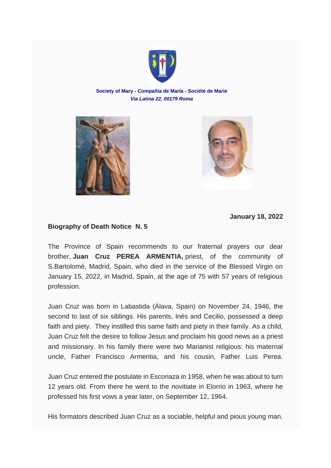

**Society of Mary - Compañía de María - Société de Marie** *Via Latina 22, 00179 Roma*





**January 18, 2022**

## **Biography of Death Notice N. 5**

The Province of Spain recommends to our fraternal prayers our dear brother, **Juan Cruz PEREA ARMENTIA,** priest, of the community of S.Bartolomé, Madrid, Spain, who died in the service of the Blessed Virgin on January 15, 2022, in Madrid, Spain, at the age of 75 with 57 years of religious profession.

Juan Cruz was born in Labastida (Álava, Spain) on November 24, 1946, the second to last of six siblings. His parents, Inés and Cecilio, possessed a deep faith and piety. They instilled this same faith and piety in their family. As a child, Juan Cruz felt the desire to follow Jesus and proclaim his good news as a priest and missionary. In his family there were two Marianist religious: his maternal uncle, Father Francisco Armentia, and his cousin, Father Luis Perea.

Juan Cruz entered the postulate in Escoriaza in 1958, when he was about to turn 12 years old. From there he went to the novitiate in Elorrio in 1963, where he professed his first vows a year later, on September 12, 1964.

His formators described Juan Cruz as a sociable, helpful and pious young man.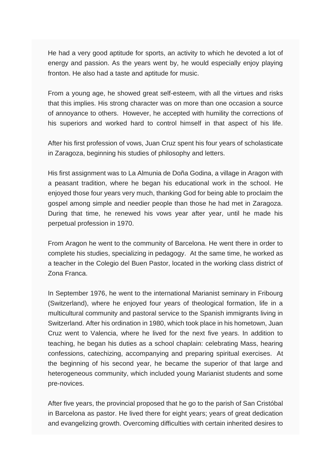He had a very good aptitude for sports, an activity to which he devoted a lot of energy and passion. As the years went by, he would especially enjoy playing fronton. He also had a taste and aptitude for music.

From a young age, he showed great self-esteem, with all the virtues and risks that this implies. His strong character was on more than one occasion a source of annoyance to others. However, he accepted with humility the corrections of his superiors and worked hard to control himself in that aspect of his life.

After his first profession of vows, Juan Cruz spent his four years of scholasticate in Zaragoza, beginning his studies of philosophy and letters.

His first assignment was to La Almunia de Doña Godina, a village in Aragon with a peasant tradition, where he began his educational work in the school. He enjoyed those four years very much, thanking God for being able to proclaim the gospel among simple and needier people than those he had met in Zaragoza. During that time, he renewed his vows year after year, until he made his perpetual profession in 1970.

From Aragon he went to the community of Barcelona. He went there in order to complete his studies, specializing in pedagogy. At the same time, he worked as a teacher in the Colegio del Buen Pastor, located in the working class district of Zona Franca.

In September 1976, he went to the international Marianist seminary in Fribourg (Switzerland), where he enjoyed four years of theological formation, life in a multicultural community and pastoral service to the Spanish immigrants living in Switzerland. After his ordination in 1980, which took place in his hometown, Juan Cruz went to Valencia, where he lived for the next five years. In addition to teaching, he began his duties as a school chaplain: celebrating Mass, hearing confessions, catechizing, accompanying and preparing spiritual exercises. At the beginning of his second year, he became the superior of that large and heterogeneous community, which included young Marianist students and some pre-novices.

After five years, the provincial proposed that he go to the parish of San Cristóbal in Barcelona as pastor. He lived there for eight years; years of great dedication and evangelizing growth. Overcoming difficulties with certain inherited desires to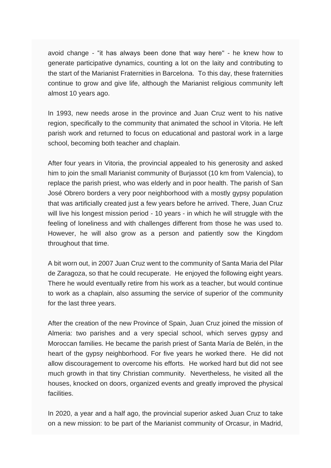avoid change - "it has always been done that way here" - he knew how to generate participative dynamics, counting a lot on the laity and contributing to the start of the Marianist Fraternities in Barcelona. To this day, these fraternities continue to grow and give life, although the Marianist religious community left almost 10 years ago.

In 1993, new needs arose in the province and Juan Cruz went to his native region, specifically to the community that animated the school in Vitoria. He left parish work and returned to focus on educational and pastoral work in a large school, becoming both teacher and chaplain.

After four years in Vitoria, the provincial appealed to his generosity and asked him to join the small Marianist community of Buriassot (10 km from Valencia), to replace the parish priest, who was elderly and in poor health. The parish of San José Obrero borders a very poor neighborhood with a mostly gypsy population that was artificially created just a few years before he arrived. There, Juan Cruz will live his longest mission period - 10 years - in which he will struggle with the feeling of loneliness and with challenges different from those he was used to. However, he will also grow as a person and patiently sow the Kingdom throughout that time.

A bit worn out, in 2007 Juan Cruz went to the community of Santa Maria del Pilar de Zaragoza, so that he could recuperate. He enjoyed the following eight years. There he would eventually retire from his work as a teacher, but would continue to work as a chaplain, also assuming the service of superior of the community for the last three years.

After the creation of the new Province of Spain, Juan Cruz joined the mission of Almeria: two parishes and a very special school, which serves gypsy and Moroccan families. He became the parish priest of Santa María de Belén, in the heart of the gypsy neighborhood. For five years he worked there. He did not allow discouragement to overcome his efforts. He worked hard but did not see much growth in that tiny Christian community. Nevertheless, he visited all the houses, knocked on doors, organized events and greatly improved the physical facilities.

In 2020, a year and a half ago, the provincial superior asked Juan Cruz to take on a new mission: to be part of the Marianist community of Orcasur, in Madrid,